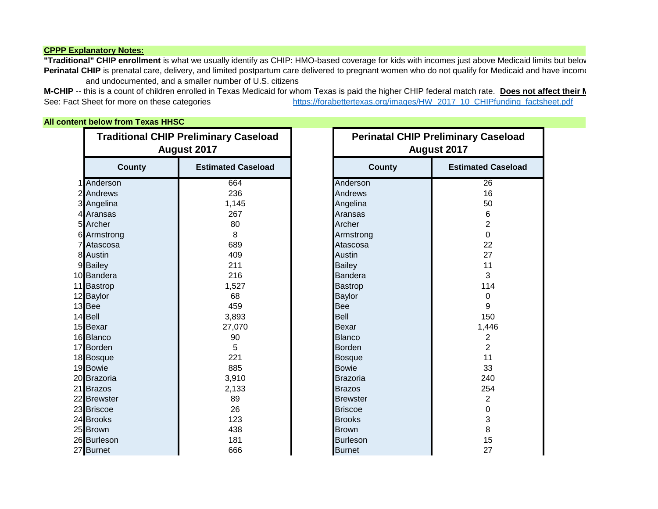## **CPPP Explanatory Notes:**

"Traditional" CHIP enrollment is what we usually identify as CHIP: HMO-based coverage for kids with incomes just above Medicaid limits but below Perinatal CHIP is prenatal care, delivery, and limited postpartum care delivered to pregnant women who do not qualify for Medicaid and have income and undocumented, and a smaller number of U.S. citizens

M-CHIP -- this is a count of children enrolled in Texas Medicaid for whom Texas is paid the higher CHIP federal match rate. Does not affect their N See: Fact Sheet for more on these categories [https://forabettertexas.org/images/HW\\_2017\\_10\\_CHIPfunding\\_factsheet.pdf](https://forabettertexas.org/images/HW_2017_10_CHIPfunding_factsheet.pdf)

## **All content below from Texas HHSC**

| <b>Traditional CHIP Preliminary Caseload</b><br>August 2017 |                           | <b>Perinatal CHIP Preliminary Caseload</b><br>August 2017 |                 |                           |
|-------------------------------------------------------------|---------------------------|-----------------------------------------------------------|-----------------|---------------------------|
| <b>County</b>                                               | <b>Estimated Caseload</b> |                                                           | <b>County</b>   | <b>Estimated Caseload</b> |
| 1 Anderson                                                  | 664                       |                                                           | Anderson        | 26                        |
| 2 Andrews                                                   | 236                       |                                                           | Andrews         | 16                        |
| 3 Angelina                                                  | 1,145                     |                                                           | Angelina        | 50                        |
| 4 Aransas                                                   | 267                       |                                                           | Aransas         | 6                         |
| 5 Archer                                                    | 80                        |                                                           | Archer          | $\overline{2}$            |
| 6 Armstrong                                                 | 8                         |                                                           | Armstrong       | 0                         |
| 7 Atascosa                                                  | 689                       |                                                           | Atascosa        | 22                        |
| 8 Austin                                                    | 409                       |                                                           | <b>Austin</b>   | 27                        |
| 9 Bailey                                                    | 211                       |                                                           | <b>Bailey</b>   | 11                        |
| 10 Bandera                                                  | 216                       |                                                           | Bandera         | 3                         |
| 11 Bastrop                                                  | 1,527                     |                                                           | <b>Bastrop</b>  | 114                       |
| 12 Baylor                                                   | 68                        |                                                           | <b>Baylor</b>   | 0                         |
| 13 Bee                                                      | 459                       | Bee                                                       |                 | 9                         |
| 14 Bell                                                     | 3,893                     | Bell                                                      |                 | 150                       |
| 15 Bexar                                                    | 27,070                    |                                                           | Bexar           | 1,446                     |
| 16 Blanco                                                   | 90                        |                                                           | <b>Blanco</b>   | $\overline{2}$            |
| 17 Borden                                                   | 5                         |                                                           | <b>Borden</b>   | $\overline{2}$            |
| 18 Bosque                                                   | 221                       |                                                           | <b>Bosque</b>   | 11                        |
| 19 Bowie                                                    | 885                       |                                                           | <b>Bowie</b>    | 33                        |
| 20 Brazoria                                                 | 3,910                     |                                                           | Brazoria        | 240                       |
| 21 Brazos                                                   | 2,133                     |                                                           | <b>Brazos</b>   | 254                       |
| 22 Brewster                                                 | 89                        |                                                           | <b>Brewster</b> | $\overline{2}$            |
| 23 Briscoe                                                  | 26                        |                                                           | <b>Briscoe</b>  | 0                         |
| 24 Brooks                                                   | 123                       |                                                           | <b>Brooks</b>   | 3                         |
| 25 Brown                                                    | 438                       |                                                           | <b>Brown</b>    | 8                         |
| 26 Burleson                                                 | 181                       |                                                           | <b>Burleson</b> | 15                        |
| 27 Burnet                                                   | 666                       |                                                           | <b>Burnet</b>   | 27                        |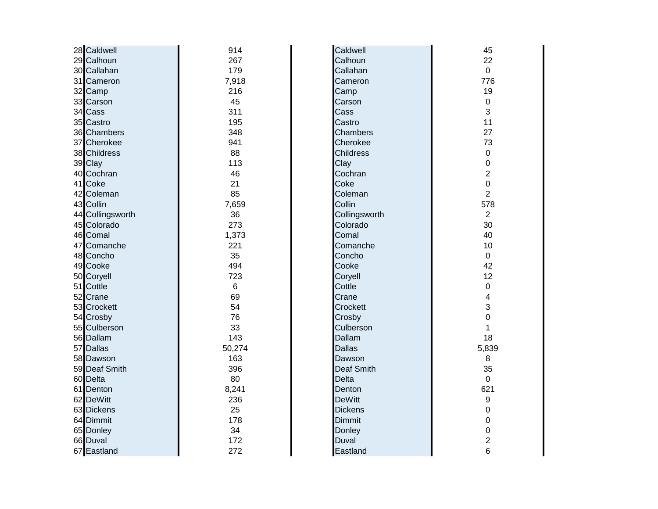| 28 Caldwell      | 914    | Caldwell          | 45                      |
|------------------|--------|-------------------|-------------------------|
| 29 Calhoun       | 267    | Calhoun           | 22                      |
| 30 Callahan      | 179    | Callahan          | $\overline{0}$          |
| 31 Cameron       | 7,918  | Cameron           | 776                     |
| 32 Camp          | 216    | Camp              | 19                      |
| 33 Carson        | 45     | Carson            | $\pmb{0}$               |
| 34 Cass          | 311    | Cass              | 3                       |
| 35 Castro        | 195    | Castro            | 11                      |
| 36 Chambers      | 348    | Chambers          | 27                      |
| 37 Cherokee      | 941    | Cherokee          | 73                      |
| 38 Childress     | 88     | <b>Childress</b>  | $\mathbf 0$             |
| 39 Clay          | 113    | Clay              | 0                       |
| 40 Cochran       | 46     | Cochran           | $\overline{2}$          |
| 41 Coke          | 21     | Coke              | $\mathbf 0$             |
| 42 Coleman       | 85     | Coleman           | $\overline{2}$          |
| 43 Collin        | 7,659  | Collin            | 578                     |
| 44 Collingsworth | 36     | Collingsworth     | $\overline{2}$          |
| 45 Colorado      | 273    | Colorado          | 30                      |
| 46 Comal         | 1,373  | Comal             | 40                      |
| 47 Comanche      | 221    | Comanche          | 10                      |
| 48 Concho        | 35     | Concho            | $\mathbf 0$             |
| 49 Cooke         | 494    | Cooke             | 42                      |
| 50 Coryell       | 723    | Coryell           | 12                      |
| 51 Cottle        | 6      | Cottle            | $\mathbf 0$             |
| 52 Crane         | 69     | Crane             | 4                       |
| 53 Crockett      | 54     | Crockett          | 3                       |
| 54 Crosby        | 76     | Crosby            | 0                       |
| 55 Culberson     | 33     | Culberson         | 1                       |
| 56 Dallam        | 143    | Dallam            | 18                      |
| 57 Dallas        | 50,274 | <b>Dallas</b>     | 5,839                   |
| 58 Dawson        | 163    | Dawson            | 8                       |
| 59 Deaf Smith    | 396    | <b>Deaf Smith</b> | 35                      |
| 60 Delta         | 80     | <b>Delta</b>      | $\mathbf 0$             |
| 61 Denton        | 8,241  | Denton            | 621                     |
| 62 DeWitt        | 236    | <b>DeWitt</b>     | $\boldsymbol{9}$        |
| 63 Dickens       | 25     | <b>Dickens</b>    | 0                       |
| 64 Dimmit        | 178    | <b>Dimmit</b>     | $\mathbf 0$             |
| 65 Donley        | 34     | Donley            | 0                       |
| 66 Duval         | 172    | Duval             | $\overline{\mathbf{c}}$ |
| 67 Eastland      | 272    | Eastland          | 6                       |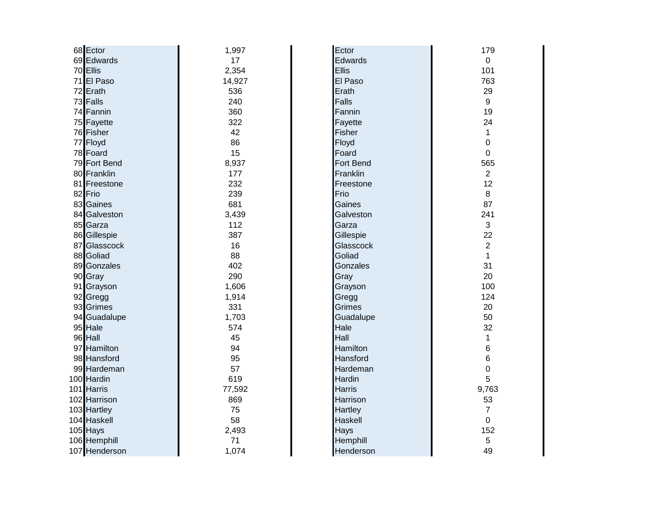| 68 Ector      | 1,997  | Ector         | 179            |
|---------------|--------|---------------|----------------|
| 69 Edwards    | 17     | Edwards       | $\mathbf 0$    |
| 70 Ellis      | 2,354  | Ellis         | 101            |
| 71 El Paso    | 14,927 | El Paso       | 763            |
| 72 Erath      | 536    | Erath         | 29             |
| 73 Falls      | 240    | Falls         | 9              |
| 74 Fannin     | 360    | Fannin        | 19             |
| 75 Fayette    | 322    | Fayette       | 24             |
| 76 Fisher     | 42     | Fisher        | $\mathbf 1$    |
| 77 Floyd      | 86     | Floyd         | 0              |
| 78 Foard      | 15     | Foard         | 0              |
| 79 Fort Bend  | 8,937  | Fort Bend     | 565            |
| 80 Franklin   | 177    | Franklin      | $\overline{2}$ |
| 81 Freestone  | 232    | Freestone     | 12             |
| 82 Frio       | 239    | Frio          | 8              |
| 83 Gaines     | 681    | Gaines        | 87             |
| 84 Galveston  | 3,439  | Galveston     | 241            |
| 85 Garza      | 112    | Garza         | 3              |
| 86 Gillespie  | 387    | Gillespie     | 22             |
| 87 Glasscock  | 16     | Glasscock     | $\overline{2}$ |
| 88 Goliad     | 88     | Goliad        | 1              |
| 89 Gonzales   | 402    | Gonzales      | 31             |
| 90 Gray       | 290    | Gray          | 20             |
| 91 Grayson    | 1,606  | Grayson       | 100            |
| 92 Gregg      | 1,914  | Gregg         | 124            |
| 93 Grimes     | 331    | Grimes        | 20             |
| 94 Guadalupe  | 1,703  | Guadalupe     | 50             |
| 95 Hale       | 574    | Hale          | 32             |
| 96 Hall       | 45     | Hall          | $\mathbf 1$    |
| 97 Hamilton   | 94     | Hamilton      | 6              |
| 98 Hansford   | 95     | Hansford      | 6              |
| 99 Hardeman   | 57     | Hardeman      | 0              |
| 100 Hardin    | 619    | Hardin        | 5              |
| 101 Harris    | 77,592 | <b>Harris</b> | 9,763          |
| 102 Harrison  | 869    | Harrison      | 53             |
| 103 Hartley   | 75     | Hartley       | $\overline{7}$ |
| 104 Haskell   | 58     | Haskell       | 0              |
| 105 Hays      | 2,493  | Hays          | 152            |
| 106 Hemphill  | 71     | Hemphill      | 5              |
| 107 Henderson | 1,074  | Henderson     | 49             |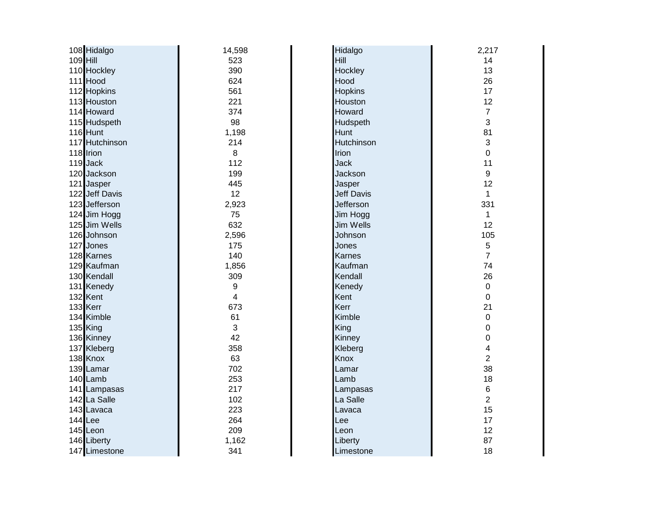|          | 108 Hidalgo    | 14,598           | Hidalgo           | 2,217            |
|----------|----------------|------------------|-------------------|------------------|
| 109 Hill |                | 523              | Hill              | 14               |
|          | 110 Hockley    | 390              | Hockley           | 13               |
|          | 111 Hood       | 624              | Hood              | 26               |
|          | 112 Hopkins    | 561              | <b>Hopkins</b>    | 17               |
|          | 113 Houston    | 221              | Houston           | 12               |
|          | 114 Howard     | 374              | Howard            | $\overline{7}$   |
|          | 115 Hudspeth   | 98               | Hudspeth          | 3                |
|          | 116 Hunt       | 1,198            | Hunt              | 81               |
|          | 117 Hutchinson | 214              | Hutchinson        | 3                |
|          | 118 Irion      | 8                | Irion             | 0                |
|          | 119 Jack       | 112              | <b>Jack</b>       | 11               |
|          | 120 Jackson    | 199              | Jackson           | $\boldsymbol{9}$ |
|          | 121 Jasper     | 445              | Jasper            | 12               |
|          | 122 Jeff Davis | 12               | <b>Jeff Davis</b> | $\mathbf{1}$     |
|          | 123 Jefferson  | 2,923            | Jefferson         | 331              |
|          | 124 Jim Hogg   | 75               | Jim Hogg          | $\mathbf{1}$     |
|          | 125 Jim Wells  | 632              | <b>Jim Wells</b>  | 12               |
|          | 126 Johnson    | 2,596            | Johnson           | 105              |
|          | 127 Jones      | 175              | Jones             | 5                |
|          | 128 Karnes     | 140              | <b>Karnes</b>     | $\overline{7}$   |
|          | 129 Kaufman    | 1,856            | Kaufman           | 74               |
|          | 130 Kendall    | 309              | Kendall           | 26               |
|          | 131 Kenedy     | $\boldsymbol{9}$ | Kenedy            | $\mathbf 0$      |
|          | 132 Kent       | 4                | Kent              | $\boldsymbol{0}$ |
|          | 133 Kerr       | 673              | Kerr              | 21               |
|          | 134 Kimble     | 61               | Kimble            | $\boldsymbol{0}$ |
|          | 135 King       | 3                | King              | 0                |
|          | 136 Kinney     | 42               | Kinney            | 0                |
|          | 137 Kleberg    | 358              | Kleberg           | 4                |
|          | 138 Knox       | 63               | <b>Knox</b>       | $\overline{c}$   |
|          | 139 Lamar      | 702              | Lamar             | 38               |
|          | 140 Lamb       | 253              | Lamb              | 18               |
|          | 141 Lampasas   | 217              | Lampasas          | $\,6\,$          |
|          | 142 La Salle   | 102              | La Salle          | $\overline{2}$   |
|          | 143 Lavaca     | 223              | Lavaca            | 15               |
|          | 144 Lee        | 264              | Lee               | 17               |
|          | 145 Leon       | 209              | Leon              | 12               |
|          | 146 Liberty    | 1,162            | Liberty           | 87               |
|          | 147 Limestone  | 341              | Limestone         | 18               |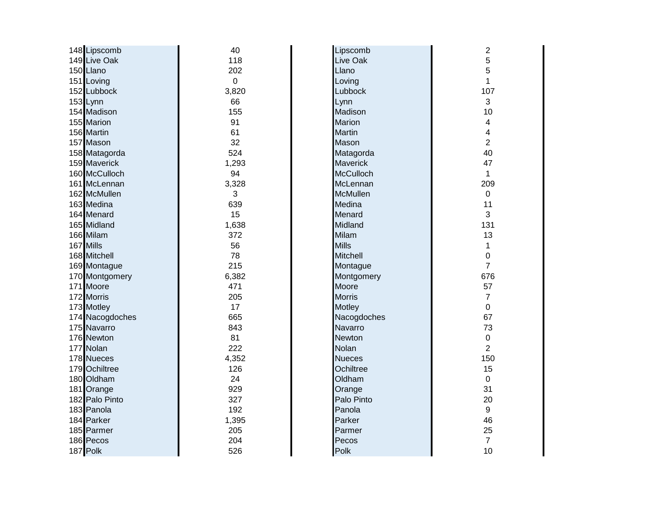| 148 Lipscomb    | 40             | Lipscomb         | $\overline{c}$   |
|-----------------|----------------|------------------|------------------|
| 149 Live Oak    | 118            | Live Oak         | 5                |
| 150 Llano       | 202            | Llano            | 5                |
| 151 Loving      | $\overline{0}$ | Loving           | 1                |
| 152 Lubbock     | 3,820          | Lubbock          | 107              |
| 153 Lynn        | 66             | Lynn             | 3                |
| 154 Madison     | 155            | Madison          | 10               |
| 155 Marion      | 91             | <b>Marion</b>    | 4                |
| 156 Martin      | 61             | <b>Martin</b>    | 4                |
| 157 Mason       | 32             | Mason            | $\overline{2}$   |
| 158 Matagorda   | 524            | Matagorda        | 40               |
| 159 Maverick    | 1,293          | <b>Maverick</b>  | 47               |
| 160 McCulloch   | 94             | <b>McCulloch</b> | 1                |
| 161 McLennan    | 3,328          | McLennan         | 209              |
| 162 McMullen    | 3              | <b>McMullen</b>  | $\mathbf 0$      |
| 163 Medina      | 639            | Medina           | 11               |
| 164 Menard      | 15             | Menard           | 3                |
| 165 Midland     | 1,638          | Midland          | 131              |
| 166 Milam       | 372            | Milam            | 13               |
| 167 Mills       | 56             | <b>Mills</b>     | 1                |
| 168 Mitchell    | 78             | <b>Mitchell</b>  | 0                |
| 169 Montague    | 215            | Montague         | $\overline{7}$   |
| 170 Montgomery  | 6,382          | Montgomery       | 676              |
| 171 Moore       | 471            | Moore            | 57               |
| 172 Morris      | 205            | <b>Morris</b>    | $\overline{7}$   |
| 173 Motley      | 17             | <b>Motley</b>    | 0                |
| 174 Nacogdoches | 665            | Nacogdoches      | 67               |
| 175 Navarro     | 843            | Navarro          | 73               |
| 176 Newton      | 81             | <b>Newton</b>    | 0                |
| 177 Nolan       | 222            | Nolan            | $\overline{2}$   |
| 178 Nueces      | 4,352          | <b>Nueces</b>    | 150              |
| 179 Ochiltree   | 126            | Ochiltree        | 15               |
| 180 Oldham      | 24             | Oldham           | $\boldsymbol{0}$ |
| 181 Orange      | 929            | Orange           | 31               |
| 182 Palo Pinto  | 327            | Palo Pinto       | 20               |
| 183 Panola      | 192            | Panola           | 9                |
| 184 Parker      | 1,395          | Parker           | 46               |
| 185 Parmer      | 205            | Parmer           | 25               |
| 186 Pecos       | 204            | Pecos            | $\overline{7}$   |
| 187 Polk        | 526            | Polk             | 10               |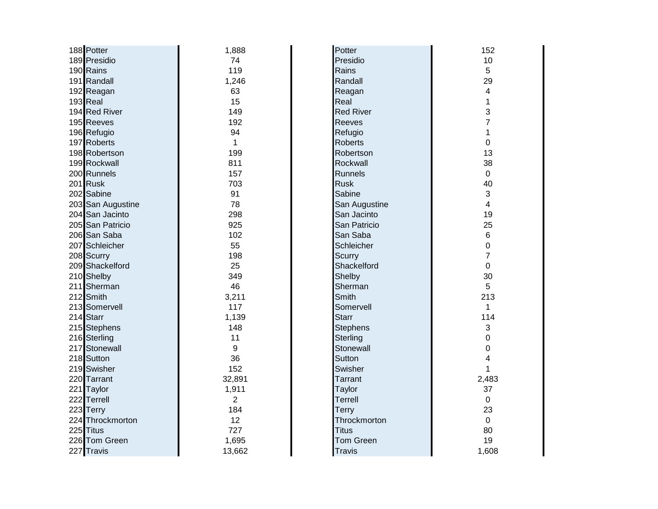| 188 Potter        | 1,888          | Potter           | 152                     |
|-------------------|----------------|------------------|-------------------------|
| 189 Presidio      | 74             | Presidio         | 10                      |
| 190 Rains         | 119            | Rains            | 5                       |
| 191 Randall       | 1,246          | Randall          | 29                      |
| 192 Reagan        | 63             | Reagan           | $\overline{\mathbf{4}}$ |
| 193 Real          | 15             | Real             | 1                       |
| 194 Red River     | 149            | <b>Red River</b> | 3                       |
| 195 Reeves        | 192            | <b>Reeves</b>    | $\overline{7}$          |
| 196 Refugio       | 94             | Refugio          | $\mathbf{1}$            |
| 197 Roberts       | $\mathbf{1}$   | <b>Roberts</b>   | $\mathbf 0$             |
| 198 Robertson     | 199            | Robertson        | 13                      |
| 199 Rockwall      | 811            | Rockwall         | 38                      |
| 200 Runnels       | 157            | <b>Runnels</b>   | $\mathbf 0$             |
| 201 Rusk          | 703            | <b>Rusk</b>      | 40                      |
| 202 Sabine        | 91             | Sabine           | 3                       |
| 203 San Augustine | 78             | San Augustine    | $\overline{4}$          |
| 204 San Jacinto   | 298            | San Jacinto      | 19                      |
| 205 San Patricio  | 925            | San Patricio     | 25                      |
| 206 San Saba      | 102            | San Saba         | $\,6$                   |
| 207 Schleicher    | 55             | Schleicher       | 0                       |
| 208 Scurry        | 198            | Scurry           | $\overline{7}$          |
| 209 Shackelford   | 25             | Shackelford      | 0                       |
| 210 Shelby        | 349            | Shelby           | 30                      |
| 211 Sherman       | 46             | Sherman          | 5                       |
| 212 Smith         | 3,211          | Smith            | 213                     |
| 213 Somervell     | 117            | Somervell        | $\mathbf{1}$            |
| 214 Starr         | 1,139          | Starr            | 114                     |
| 215 Stephens      | 148            | <b>Stephens</b>  | 3                       |
| 216 Sterling      | 11             | Sterling         | 0                       |
| 217 Stonewall     | 9              | Stonewall        | $\mathbf 0$             |
| 218 Sutton        | 36             | Sutton           | 4                       |
| 219 Swisher       | 152            | Swisher          | 1                       |
| 220 Tarrant       | 32,891         | <b>Tarrant</b>   | 2,483                   |
| 221 Taylor        | 1,911          | Taylor           | 37                      |
| 222 Terrell       | $\overline{2}$ | <b>Terrell</b>   | $\mathbf 0$             |
| 223 Terry         | 184            | <b>Terry</b>     | 23                      |
| 224 Throckmorton  | 12             | Throckmorton     | $\mathbf 0$             |
| 225 Titus         | 727            | <b>Titus</b>     | 80                      |
| 226 Tom Green     | 1,695          | <b>Tom Green</b> | 19                      |
| 227 Travis        | 13,662         | <b>Travis</b>    | 1,608                   |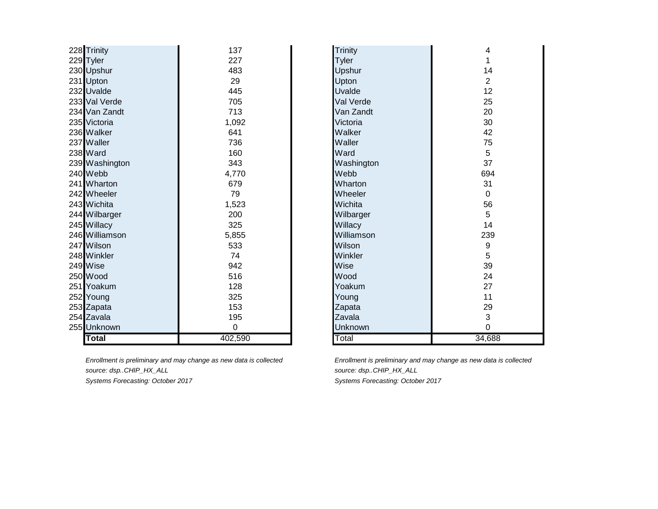| 228 Trinity    | 137     | Trinity        | 4              |
|----------------|---------|----------------|----------------|
| 229 Tyler      | 227     | Tyler          |                |
| 230 Upshur     | 483     | Upshur         | 14             |
| 231 Upton      | 29      | Upton          | $\overline{2}$ |
| 232 Uvalde     | 445     | Uvalde         | 12             |
| 233 Val Verde  | 705     | Val Verde      | 25             |
| 234 Van Zandt  | 713     | Van Zandt      | 20             |
| 235 Victoria   | 1,092   | Victoria       | 30             |
| 236 Walker     | 641     | Walker         | 42             |
| 237 Waller     | 736     | Waller         | 75             |
| 238 Ward       | 160     | Ward           | 5              |
| 239 Washington | 343     | Washington     | 37             |
| 240 Webb       | 4,770   | Webb           | 694            |
| 241 Wharton    | 679     | Wharton        | 31             |
| 242 Wheeler    | 79      | Wheeler        | $\mathbf 0$    |
| 243 Wichita    | 1,523   | Wichita        | 56             |
| 244 Wilbarger  | 200     | Wilbarger      | 5              |
| 245 Willacy    | 325     | Willacy        | 14             |
| 246 Williamson | 5,855   | Williamson     | 239            |
| 247 Wilson     | 533     | Wilson         | 9              |
| 248 Winkler    | 74      | Winkler        | 5              |
| 249 Wise       | 942     | Wise           | 39             |
| 250 Wood       | 516     | Wood           | 24             |
| 251 Yoakum     | 128     | Yoakum         | 27             |
| 252 Young      | 325     | Young          | 11             |
| 253 Zapata     | 153     | Zapata         | 29             |
| 254 Zavala     | 195     | Zavala         | 3              |
| 255 Unknown    | 0       | <b>Unknown</b> | 0              |
| <b>Total</b>   | 402,590 | Total          | 34,688         |

*source: dsp..CHIP\_HX\_ALL source: dsp..CHIP\_HX\_ALL*

*Enrollment is preliminary and may change as new data is collected Enrollment is preliminary and may change as new data is collected Systems Forecasting: October 2017 Systems Forecasting: October 2017*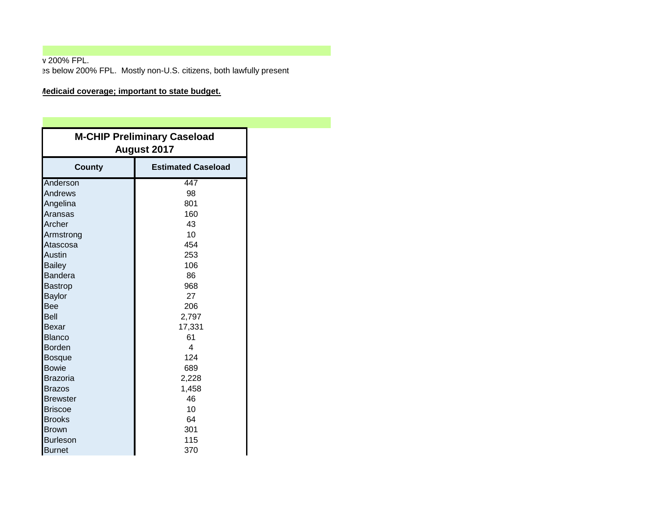**v** 200% FPL. Perinatal care, deliver on this present postpartum care delivered to present who do not do not do not do not do n<br>
For Medicana and have incomes below 200% FPL. Mostly non-U.S. citizens, both lawfully present

## **Medicaid coverage; important to state budget.**

| <b>M-CHIP Preliminary Caseload</b><br><b>August 2017</b> |                           |
|----------------------------------------------------------|---------------------------|
| <b>County</b>                                            | <b>Estimated Caseload</b> |
| Anderson                                                 | 447                       |
| Andrews                                                  | 98                        |
| Angelina                                                 | 801                       |
| Aransas                                                  | 160                       |
| Archer                                                   | 43                        |
| Armstrong                                                | 10                        |
| Atascosa                                                 | 454                       |
| <b>Austin</b>                                            | 253                       |
| <b>Bailey</b>                                            | 106                       |
| <b>Bandera</b>                                           | 86                        |
| <b>Bastrop</b>                                           | 968                       |
| <b>Baylor</b>                                            | 27                        |
| Bee                                                      | 206                       |
| <b>Bell</b>                                              | 2,797                     |
| <b>Bexar</b>                                             | 17,331                    |
| <b>Blanco</b>                                            | 61                        |
| <b>Borden</b>                                            | 4                         |
| Bosque                                                   | 124                       |
| <b>Bowie</b>                                             | 689                       |
| Brazoria                                                 | 2,228                     |
| <b>Brazos</b>                                            | 1,458                     |
| <b>Brewster</b>                                          | 46                        |
| <b>Briscoe</b>                                           | 10                        |
| <b>Brooks</b>                                            | 64                        |
| <b>Brown</b>                                             | 301                       |
| <b>Burleson</b>                                          | 115                       |
| <b>Burnet</b>                                            | 370                       |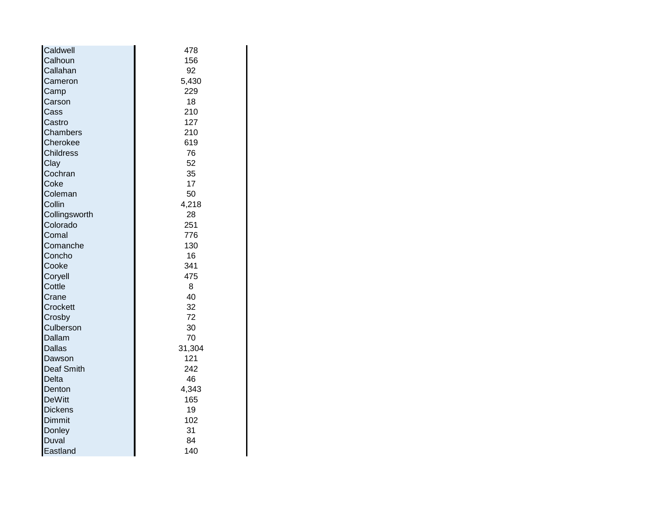| Caldwell          | 478    |
|-------------------|--------|
| Calhoun           | 156    |
| Callahan          | 92     |
| Cameron           | 5,430  |
| Camp              | 229    |
| Carson            | 18     |
| Cass              | 210    |
| Castro            | 127    |
| Chambers          | 210    |
| Cherokee          | 619    |
| <b>Childress</b>  | 76     |
| Clay              | 52     |
| Cochran           | 35     |
| Coke              | 17     |
| Coleman           | 50     |
| Collin            | 4,218  |
| Collingsworth     | 28     |
| Colorado          | 251    |
| Comal             | 776    |
| Comanche          | 130    |
| Concho            | 16     |
| Cooke             | 341    |
| Coryell           | 475    |
| Cottle            | 8      |
| Crane             | 40     |
| Crockett          | 32     |
| Crosby            | 72     |
| Culberson         | 30     |
| Dallam            | 70     |
| <b>Dallas</b>     | 31,304 |
| Dawson            | 121    |
| <b>Deaf Smith</b> | 242    |
| Delta             | 46     |
| Denton            | 4,343  |
| <b>DeWitt</b>     | 165    |
| <b>Dickens</b>    | 19     |
| Dimmit            | 102    |
| Donley            | 31     |
| <b>Duval</b>      | 84     |
| Eastland          | 140    |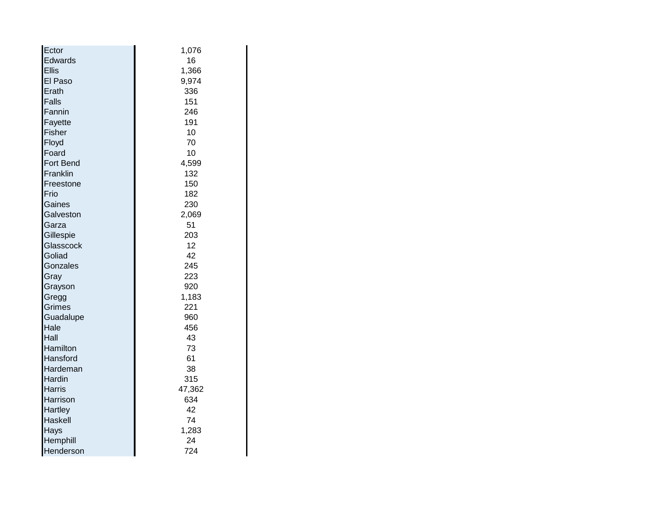| Ector            | 1,076  |
|------------------|--------|
| Edwards          | 16     |
| <b>Ellis</b>     | 1,366  |
| El Paso          | 9,974  |
| Erath            | 336    |
| Falls            | 151    |
| Fannin           | 246    |
| Fayette          | 191    |
| Fisher           | 10     |
| Floyd            | 70     |
| Foard            | 10     |
| <b>Fort Bend</b> | 4,599  |
| Franklin         | 132    |
| Freestone        | 150    |
| Frio             | 182    |
| Gaines           | 230    |
| Galveston        | 2,069  |
| Garza            | 51     |
| Gillespie        | 203    |
| Glasscock        | 12     |
| Goliad           | 42     |
| Gonzales         | 245    |
| Gray             | 223    |
| Grayson          | 920    |
| Gregg            | 1,183  |
| Grimes           | 221    |
| Guadalupe        | 960    |
| Hale             | 456    |
| Hall             | 43     |
| Hamilton         | 73     |
| Hansford         | 61     |
| Hardeman         | 38     |
| Hardin           | 315    |
| Harris           | 47,362 |
| Harrison         | 634    |
| <b>Hartley</b>   | 42     |
| Haskell          | 74     |
| Hays             | 1,283  |
| Hemphill         | 24     |
| Henderson        | 724    |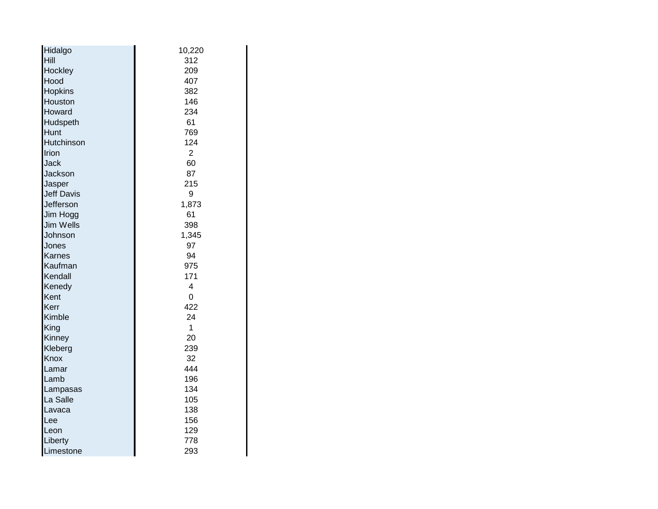| Hidalgo           | 10,220 |
|-------------------|--------|
| Hill              | 312    |
| Hockley           | 209    |
| Hood              | 407    |
| <b>Hopkins</b>    | 382    |
| Houston           | 146    |
| Howard            | 234    |
| Hudspeth          | 61     |
| Hunt              | 769    |
| Hutchinson        | 124    |
| Irion             | 2      |
| <b>Jack</b>       | 60     |
| Jackson           | 87     |
| Jasper            | 215    |
| <b>Jeff Davis</b> | 9      |
| Jefferson         | 1,873  |
| Jim Hogg          | 61     |
| <b>Jim Wells</b>  | 398    |
| Johnson           | 1,345  |
| <b>Jones</b>      | 97     |
| <b>Karnes</b>     | 94     |
| Kaufman           | 975    |
| Kendall           | 171    |
| Kenedy            | 4      |
| Kent              | 0      |
| Kerr              | 422    |
| Kimble            | 24     |
| King              | 1      |
| Kinney            | 20     |
| Kleberg           | 239    |
| Knox              | 32     |
| Lamar             | 444    |
| Lamb              | 196    |
| Lampasas          | 134    |
| La Salle          | 105    |
| Lavaca            | 138    |
| Lee               | 156    |
| Leon              | 129    |
| Liberty           | 778    |
| Limestone         | 293    |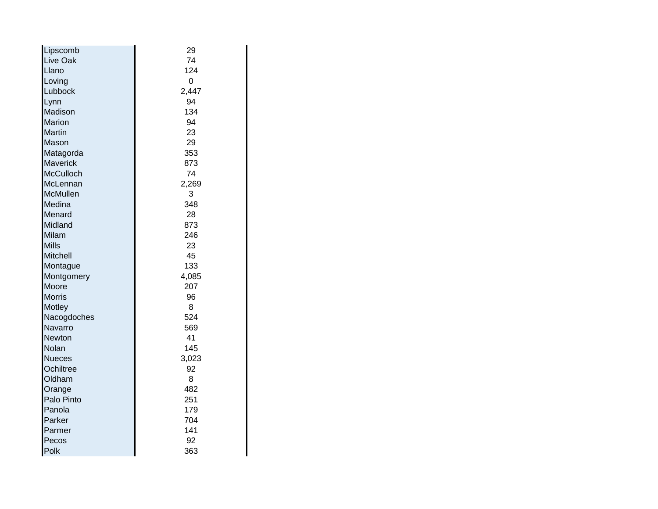| Lipscomb         | 29    |
|------------------|-------|
| <b>Live Oak</b>  | 74    |
| Llano            | 124   |
| Loving           | 0     |
| Lubbock          | 2,447 |
| Lynn             | 94    |
| Madison          | 134   |
| <b>Marion</b>    | 94    |
| <b>Martin</b>    | 23    |
| Mason            | 29    |
| Matagorda        | 353   |
| <b>Maverick</b>  | 873   |
| <b>McCulloch</b> | 74    |
| McLennan         | 2,269 |
| <b>McMullen</b>  | 3     |
| Medina           | 348   |
| Menard           | 28    |
| Midland          | 873   |
| Milam            | 246   |
| <b>Mills</b>     | 23    |
| <b>Mitchell</b>  | 45    |
| Montague         | 133   |
| Montgomery       | 4,085 |
| Moore            | 207   |
| <b>Morris</b>    | 96    |
| <b>Motley</b>    | 8     |
| Nacogdoches      | 524   |
| Navarro          | 569   |
| Newton           | 41    |
| Nolan            | 145   |
| Nueces           | 3,023 |
| Ochiltree        | 92    |
| Oldham           | 8     |
| Orange           | 482   |
| Palo Pinto       | 251   |
| Panola           | 179   |
| <b>Parker</b>    | 704   |
| Parmer           | 141   |
| Pecos            | 92    |
| Polk             | 363   |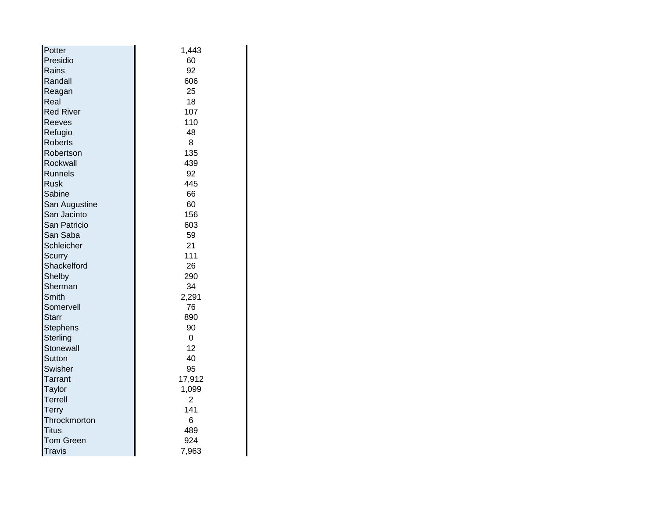| Potter           | 1,443          |
|------------------|----------------|
| Presidio         | 60             |
| Rains            | 92             |
| Randall          | 606            |
| Reagan           | 25             |
| Real             | 18             |
| <b>Red River</b> | 107            |
| <b>Reeves</b>    | 110            |
| Refugio          | 48             |
| <b>Roberts</b>   | 8              |
| Robertson        | 135            |
| Rockwall         | 439            |
| <b>Runnels</b>   | 92             |
| lRusk            | 445            |
| Sabine           | 66             |
| San Augustine    | 60             |
| San Jacinto      | 156            |
| San Patricio     | 603            |
| San Saba         | 59             |
| Schleicher       | 21             |
| Scurry           | 111            |
| Shackelford      | 26             |
| Shelby           | 290            |
| Sherman          | 34             |
| Smith            | 2,291          |
| Somervell        | 76             |
| <b>Starr</b>     | 890            |
| <b>Stephens</b>  | 90             |
| Sterling         | 0              |
| Stonewall        | 12             |
| Sutton           | 40             |
| Swisher          | 95             |
| <b>Tarrant</b>   | 17,912         |
| Taylor           | 1,099          |
| <b>Terrell</b>   | $\overline{2}$ |
| <b>Terry</b>     | 141            |
| Throckmorton     | 6              |
| <b>Titus</b>     | 489            |
| <b>Tom Green</b> | 924            |
| Travis           | 7,963          |